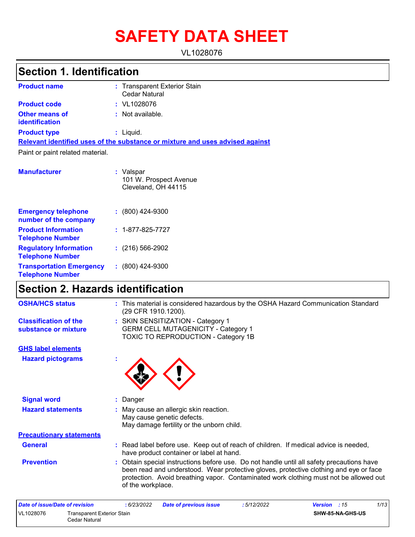# **SAFETY DATA SHEET**

VL1028076

## **Section 1. Identification**

| <b>Product name</b>              | : Transparent Exterior Stain<br>Cedar Natural                                 |
|----------------------------------|-------------------------------------------------------------------------------|
| <b>Product code</b>              | $:$ VL1028076                                                                 |
| Other means of<br>identification | $:$ Not available.                                                            |
| <b>Product type</b>              | : Liquid.                                                                     |
|                                  | Relevant identified uses of the substance or mixture and uses advised against |
| Paint or paint related material. |                                                                               |
| <b>Manufacturer</b>              | : Valspar<br>101 W. Prospect Avenue<br>Cleveland, OH 44115                    |

| <b>Emergency telephone</b><br>number of the company        | $: (800)$ 424-9300       |
|------------------------------------------------------------|--------------------------|
| <b>Product Information</b><br><b>Telephone Number</b>      | $: 1 - 877 - 825 - 7727$ |
| <b>Regulatory Information</b><br><b>Telephone Number</b>   | $: (216) 566 - 2902$     |
| <b>Transportation Emergency</b><br><b>Telephone Number</b> | $: (800)$ 424-9300       |

## **Section 2. Hazards identification**

| <b>OSHA/HCS status</b>                               | : This material is considered hazardous by the OSHA Hazard Communication Standard<br>(29 CFR 1910.1200).                                                                                                                                                                                         |
|------------------------------------------------------|--------------------------------------------------------------------------------------------------------------------------------------------------------------------------------------------------------------------------------------------------------------------------------------------------|
| <b>Classification of the</b><br>substance or mixture | : SKIN SENSITIZATION - Category 1<br><b>GERM CELL MUTAGENICITY - Category 1</b><br>TOXIC TO REPRODUCTION - Category 1B                                                                                                                                                                           |
| <b>GHS label elements</b>                            |                                                                                                                                                                                                                                                                                                  |
| <b>Hazard pictograms</b>                             |                                                                                                                                                                                                                                                                                                  |
| <b>Signal word</b>                                   | : Danger                                                                                                                                                                                                                                                                                         |
| <b>Hazard statements</b>                             | : May cause an allergic skin reaction.<br>May cause genetic defects.<br>May damage fertility or the unborn child.                                                                                                                                                                                |
| <b>Precautionary statements</b>                      |                                                                                                                                                                                                                                                                                                  |
| <b>General</b>                                       | : Read label before use. Keep out of reach of children. If medical advice is needed,<br>have product container or label at hand.                                                                                                                                                                 |
| <b>Prevention</b>                                    | : Obtain special instructions before use. Do not handle until all safety precautions have<br>been read and understood. Wear protective gloves, protective clothing and eye or face<br>protection. Avoid breathing vapor. Contaminated work clothing must not be allowed out<br>of the workplace. |
| Date of issue/Date of revision                       | 1/1.3<br>: 6/23/2022<br>Date of previous issue<br>: 5/12/2022<br><b>Version</b> : 15                                                                                                                                                                                                             |

| Date of issue/Date of revision |                                             | : 6/23/2022 | <b>Date of previous issue</b> | 5/12/2022 | <b>Version</b> : 15 | 1/13 |
|--------------------------------|---------------------------------------------|-------------|-------------------------------|-----------|---------------------|------|
| VL1028076                      | Transparent Exterior Stain<br>Cedar Natural |             |                               |           | SHW-85-NA-GHS-US    |      |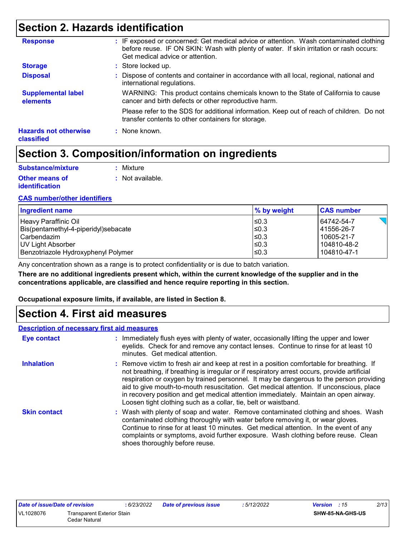## **Section 2. Hazards identification**

| <b>Disposal</b>                            | : Dispose of contents and container in accordance with all local, regional, national and<br>international regulations.                          |
|--------------------------------------------|-------------------------------------------------------------------------------------------------------------------------------------------------|
| <b>Supplemental label</b><br>elements      | WARNING: This product contains chemicals known to the State of California to cause<br>cancer and birth defects or other reproductive harm.      |
|                                            | Please refer to the SDS for additional information. Keep out of reach of children. Do not<br>transfer contents to other containers for storage. |
| <b>Hazards not otherwise</b><br>classified | : None known.                                                                                                                                   |

## **Section 3. Composition/information on ingredients**

| Substance/mixture     | : Mixture        |
|-----------------------|------------------|
| Other means of        | : Not available. |
| <i>identification</i> |                  |

### **CAS number/other identifiers**

| <b>Ingredient name</b>               | % by weight | <b>CAS number</b> |
|--------------------------------------|-------------|-------------------|
| Heavy Paraffinic Oil                 | $\leq$ 0.3  | 64742-54-7        |
| Bis(pentamethyl-4-piperidyl)sebacate | $\leq$ 0.3  | 41556-26-7        |
| l Carbendazim .                      | ≤0.3        | 10605-21-7        |
| UV Light Absorber                    | $\leq$ 0.3  | 104810-48-2       |
| Benzotriazole Hydroxyphenyl Polymer  | $\leq 0.3$  | 104810-47-1       |

Any concentration shown as a range is to protect confidentiality or is due to batch variation.

**There are no additional ingredients present which, within the current knowledge of the supplier and in the concentrations applicable, are classified and hence require reporting in this section.**

**Occupational exposure limits, if available, are listed in Section 8.**

### **Section 4. First aid measures**

### **Description of necessary first aid measures**

| <b>Eye contact</b>  | : Immediately flush eyes with plenty of water, occasionally lifting the upper and lower<br>eyelids. Check for and remove any contact lenses. Continue to rinse for at least 10<br>minutes. Get medical attention.                                                                                                                                                                                                                                                                                                                         |
|---------------------|-------------------------------------------------------------------------------------------------------------------------------------------------------------------------------------------------------------------------------------------------------------------------------------------------------------------------------------------------------------------------------------------------------------------------------------------------------------------------------------------------------------------------------------------|
| <b>Inhalation</b>   | : Remove victim to fresh air and keep at rest in a position comfortable for breathing. If<br>not breathing, if breathing is irregular or if respiratory arrest occurs, provide artificial<br>respiration or oxygen by trained personnel. It may be dangerous to the person providing<br>aid to give mouth-to-mouth resuscitation. Get medical attention. If unconscious, place<br>in recovery position and get medical attention immediately. Maintain an open airway.<br>Loosen tight clothing such as a collar, tie, belt or waistband. |
| <b>Skin contact</b> | : Wash with plenty of soap and water. Remove contaminated clothing and shoes. Wash<br>contaminated clothing thoroughly with water before removing it, or wear gloves.<br>Continue to rinse for at least 10 minutes. Get medical attention. In the event of any<br>complaints or symptoms, avoid further exposure. Wash clothing before reuse. Clean<br>shoes thoroughly before reuse.                                                                                                                                                     |

| <b>Date of issue/Date of revision</b> |                                   | 6/23/2022 | <b>Date of previous issue</b> | 5/12/2022 | <b>Version</b> : 15     | 2/13 |
|---------------------------------------|-----------------------------------|-----------|-------------------------------|-----------|-------------------------|------|
| VL1028076                             | <b>Transparent Exterior Stain</b> |           |                               |           | <b>SHW-85-NA-GHS-US</b> |      |
|                                       | Cedar Natural                     |           |                               |           |                         |      |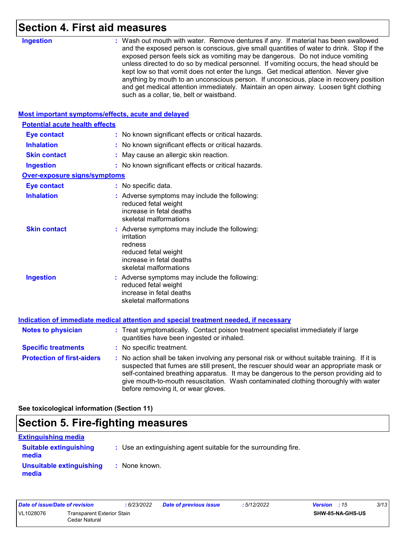### **Section 4. First aid measures**

| <b>Ingestion</b>                                   | : Wash out mouth with water. Remove dentures if any. If material has been swallowed                                                                                                                                                                                                                                                                                                                                                                                                                                                                                                        |
|----------------------------------------------------|--------------------------------------------------------------------------------------------------------------------------------------------------------------------------------------------------------------------------------------------------------------------------------------------------------------------------------------------------------------------------------------------------------------------------------------------------------------------------------------------------------------------------------------------------------------------------------------------|
|                                                    | and the exposed person is conscious, give small quantities of water to drink. Stop if the<br>exposed person feels sick as vomiting may be dangerous. Do not induce vomiting<br>unless directed to do so by medical personnel. If vomiting occurs, the head should be<br>kept low so that vomit does not enter the lungs. Get medical attention. Never give<br>anything by mouth to an unconscious person. If unconscious, place in recovery position<br>and get medical attention immediately. Maintain an open airway. Loosen tight clothing<br>such as a collar, tie, belt or waistband. |
| Most important symptoms/effects, acute and delayed |                                                                                                                                                                                                                                                                                                                                                                                                                                                                                                                                                                                            |
| <b>Potential acute health effects</b>              |                                                                                                                                                                                                                                                                                                                                                                                                                                                                                                                                                                                            |
| <b>Eye contact</b>                                 | : No known significant effects or critical hazards.                                                                                                                                                                                                                                                                                                                                                                                                                                                                                                                                        |
| <b>Inhalation</b>                                  | : No known significant effects or critical hazards.                                                                                                                                                                                                                                                                                                                                                                                                                                                                                                                                        |
| <b>Skin contact</b>                                | : May cause an allergic skin reaction.                                                                                                                                                                                                                                                                                                                                                                                                                                                                                                                                                     |
| <b>Ingestion</b>                                   | : No known significant effects or critical hazards.                                                                                                                                                                                                                                                                                                                                                                                                                                                                                                                                        |
| <b>Over-exposure signs/symptoms</b>                |                                                                                                                                                                                                                                                                                                                                                                                                                                                                                                                                                                                            |
| <b>Eye contact</b>                                 | : No specific data.                                                                                                                                                                                                                                                                                                                                                                                                                                                                                                                                                                        |
| <b>Inhalation</b>                                  | : Adverse symptoms may include the following:<br>reduced fetal weight<br>increase in fetal deaths<br>skeletal malformations                                                                                                                                                                                                                                                                                                                                                                                                                                                                |
| <b>Skin contact</b>                                | : Adverse symptoms may include the following:<br>irritation<br>redness<br>reduced fetal weight<br>increase in fetal deaths<br>skeletal malformations                                                                                                                                                                                                                                                                                                                                                                                                                                       |
| <b>Ingestion</b>                                   | : Adverse symptoms may include the following:<br>reduced fetal weight<br>increase in fetal deaths<br>skeletal malformations                                                                                                                                                                                                                                                                                                                                                                                                                                                                |
|                                                    | Indication of immediate medical attention and special treatment needed, if necessary                                                                                                                                                                                                                                                                                                                                                                                                                                                                                                       |
| <b>Notes to physician</b>                          | : Treat symptomatically. Contact poison treatment specialist immediately if large<br>quantities have been ingested or inhaled.                                                                                                                                                                                                                                                                                                                                                                                                                                                             |
| <b>Specific treatments</b>                         | : No specific treatment.                                                                                                                                                                                                                                                                                                                                                                                                                                                                                                                                                                   |
| <b>Protection of first-aiders</b>                  | : No action shall be taken involving any personal risk or without suitable training. If it is<br>suspected that fumes are still present, the rescuer should wear an appropriate mask or<br>self-contained breathing apparatus. It may be dangerous to the person providing aid to<br>give mouth-to-mouth resuscitation. Wash contaminated clothing thoroughly with water<br>before removing it, or wear gloves.                                                                                                                                                                            |

**See toxicological information (Section 11)**

## **Section 5. Fire-fighting measures**

| <b>Extinguishing media</b>             |                                                                 |
|----------------------------------------|-----------------------------------------------------------------|
| <b>Suitable extinguishing</b><br>media | : Use an extinguishing agent suitable for the surrounding fire. |
| Unsuitable extinguishing<br>media      | : None known.                                                   |

| Date of issue/Date of revision |                                                    | : 6/23/2022 | <b>Date of previous issue</b> | : 5/12/2022             | <b>Version</b> : 15 | 3/13 |
|--------------------------------|----------------------------------------------------|-------------|-------------------------------|-------------------------|---------------------|------|
| VL1028076                      | <b>Transparent Exterior Stain</b><br>Cedar Natural |             |                               | <b>SHW-85-NA-GHS-US</b> |                     |      |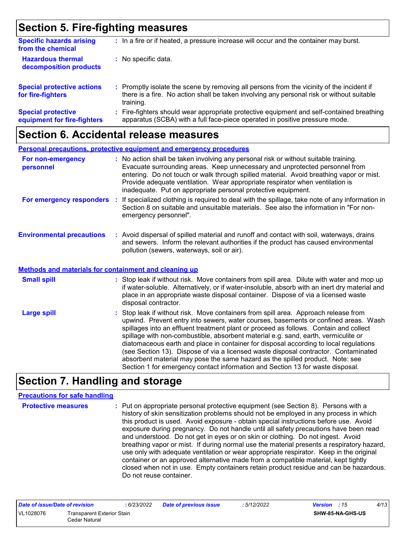## **Section 5. Fire-fighting measures**

| <b>Specific hazards arising</b><br>from the chemical     |    | : In a fire or if heated, a pressure increase will occur and the container may burst.                                                                                                               |
|----------------------------------------------------------|----|-----------------------------------------------------------------------------------------------------------------------------------------------------------------------------------------------------|
| <b>Hazardous thermal</b><br>decomposition products       |    | : No specific data.                                                                                                                                                                                 |
| <b>Special protective actions</b><br>for fire-fighters   |    | : Promptly isolate the scene by removing all persons from the vicinity of the incident if<br>there is a fire. No action shall be taken involving any personal risk or without suitable<br>training. |
| <b>Special protective</b><br>equipment for fire-fighters | ÷. | Fire-fighters should wear appropriate protective equipment and self-contained breathing<br>apparatus (SCBA) with a full face-piece operated in positive pressure mode.                              |

### **Section 6. Accidental release measures**

|                                                              | Personal precautions, protective equipment and emergency procedures                                                                                                                                                                                                                                                                                                                                                                                                                                                                                                                                                                                                                                          |
|--------------------------------------------------------------|--------------------------------------------------------------------------------------------------------------------------------------------------------------------------------------------------------------------------------------------------------------------------------------------------------------------------------------------------------------------------------------------------------------------------------------------------------------------------------------------------------------------------------------------------------------------------------------------------------------------------------------------------------------------------------------------------------------|
| For non-emergency<br>personnel                               | : No action shall be taken involving any personal risk or without suitable training.<br>Evacuate surrounding areas. Keep unnecessary and unprotected personnel from<br>entering. Do not touch or walk through spilled material. Avoid breathing vapor or mist.<br>Provide adequate ventilation. Wear appropriate respirator when ventilation is<br>inadequate. Put on appropriate personal protective equipment.                                                                                                                                                                                                                                                                                             |
| For emergency responders                                     | : If specialized clothing is required to deal with the spillage, take note of any information in<br>Section 8 on suitable and unsuitable materials. See also the information in "For non-<br>emergency personnel".                                                                                                                                                                                                                                                                                                                                                                                                                                                                                           |
| <b>Environmental precautions</b>                             | : Avoid dispersal of spilled material and runoff and contact with soil, waterways, drains<br>and sewers. Inform the relevant authorities if the product has caused environmental<br>pollution (sewers, waterways, soil or air).                                                                                                                                                                                                                                                                                                                                                                                                                                                                              |
| <b>Methods and materials for containment and cleaning up</b> |                                                                                                                                                                                                                                                                                                                                                                                                                                                                                                                                                                                                                                                                                                              |
| <b>Small spill</b>                                           | : Stop leak if without risk. Move containers from spill area. Dilute with water and mop up<br>if water-soluble. Alternatively, or if water-insoluble, absorb with an inert dry material and<br>place in an appropriate waste disposal container. Dispose of via a licensed waste<br>disposal contractor.                                                                                                                                                                                                                                                                                                                                                                                                     |
| <b>Large spill</b>                                           | : Stop leak if without risk. Move containers from spill area. Approach release from<br>upwind. Prevent entry into sewers, water courses, basements or confined areas. Wash<br>spillages into an effluent treatment plant or proceed as follows. Contain and collect<br>spillage with non-combustible, absorbent material e.g. sand, earth, vermiculite or<br>diatomaceous earth and place in container for disposal according to local regulations<br>(see Section 13). Dispose of via a licensed waste disposal contractor. Contaminated<br>absorbent material may pose the same hazard as the spilled product. Note: see<br>Section 1 for emergency contact information and Section 13 for waste disposal. |

## **Section 7. Handling and storage**

### **Precautions for safe handling**

**Protective measures :** Put on appropriate personal protective equipment (see Section 8). Persons with a history of skin sensitization problems should not be employed in any process in which this product is used. Avoid exposure - obtain special instructions before use. Avoid exposure during pregnancy. Do not handle until all safety precautions have been read and understood. Do not get in eyes or on skin or clothing. Do not ingest. Avoid breathing vapor or mist. If during normal use the material presents a respiratory hazard, use only with adequate ventilation or wear appropriate respirator. Keep in the original container or an approved alternative made from a compatible material, kept tightly closed when not in use. Empty containers retain product residue and can be hazardous. Do not reuse container.

| Date of issue/Date of revision |                                             | : 6/23/2022 | <b>Date of previous issue</b> | : 5/12/2022 | <b>Version</b> : 15     | 4/13 |
|--------------------------------|---------------------------------------------|-------------|-------------------------------|-------------|-------------------------|------|
| VL1028076                      | Transparent Exterior Stain<br>Cedar Natural |             |                               |             | <b>SHW-85-NA-GHS-US</b> |      |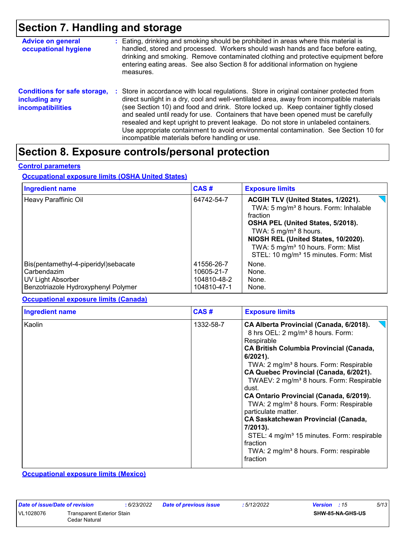## **Section 7. Handling and storage**

| <b>Advice on general</b><br>occupational hygiene                                 | : Eating, drinking and smoking should be prohibited in areas where this material is<br>handled, stored and processed. Workers should wash hands and face before eating,<br>drinking and smoking. Remove contaminated clothing and protective equipment before<br>entering eating areas. See also Section 8 for additional information on hygiene<br>measures.                                                                                                                                                                                                                                       |
|----------------------------------------------------------------------------------|-----------------------------------------------------------------------------------------------------------------------------------------------------------------------------------------------------------------------------------------------------------------------------------------------------------------------------------------------------------------------------------------------------------------------------------------------------------------------------------------------------------------------------------------------------------------------------------------------------|
| <b>Conditions for safe storage,</b><br>including any<br><b>incompatibilities</b> | : Store in accordance with local regulations. Store in original container protected from<br>direct sunlight in a dry, cool and well-ventilated area, away from incompatible materials<br>(see Section 10) and food and drink. Store locked up. Keep container tightly closed<br>and sealed until ready for use. Containers that have been opened must be carefully<br>resealed and kept upright to prevent leakage. Do not store in unlabeled containers.<br>Use appropriate containment to avoid environmental contamination. See Section 10 for<br>incompatible materials before handling or use. |

### **Section 8. Exposure controls/personal protection**

#### **Control parameters**

#### **Occupational exposure limits (OSHA United States)**

| <b>Ingredient name</b>                                                                                          | CAS#                                                   | <b>Exposure limits</b>                                                                                                                                                                                                                                                                                           |
|-----------------------------------------------------------------------------------------------------------------|--------------------------------------------------------|------------------------------------------------------------------------------------------------------------------------------------------------------------------------------------------------------------------------------------------------------------------------------------------------------------------|
| Heavy Paraffinic Oil                                                                                            | 64742-54-7                                             | ACGIH TLV (United States, 1/2021).<br>TWA: 5 mg/m <sup>3</sup> 8 hours. Form: Inhalable<br>fraction<br>OSHA PEL (United States, 5/2018).<br>TWA: 5 $mg/m3$ 8 hours.<br>NIOSH REL (United States, 10/2020).<br>TWA: 5 mg/m <sup>3</sup> 10 hours. Form: Mist<br>STEL: 10 mg/m <sup>3</sup> 15 minutes. Form: Mist |
| Bis(pentamethyl-4-piperidyl)sebacate<br>Carbendazim<br>UV Light Absorber<br>Benzotriazole Hydroxyphenyl Polymer | 41556-26-7<br>10605-21-7<br>104810-48-2<br>104810-47-1 | None.<br>None.<br>None.<br>None.                                                                                                                                                                                                                                                                                 |

#### **Occupational exposure limits (Canada)**

| <b>Ingredient name</b> | CAS#      | <b>Exposure limits</b>                                                                                                                                                                                                                                                                                                                                                                                                                                                                                                                                                                                                                                             |
|------------------------|-----------|--------------------------------------------------------------------------------------------------------------------------------------------------------------------------------------------------------------------------------------------------------------------------------------------------------------------------------------------------------------------------------------------------------------------------------------------------------------------------------------------------------------------------------------------------------------------------------------------------------------------------------------------------------------------|
| Kaolin                 | 1332-58-7 | CA Alberta Provincial (Canada, 6/2018).<br>8 hrs OEL: 2 mg/m <sup>3</sup> 8 hours. Form:<br>Respirable<br><b>CA British Columbia Provincial (Canada,</b><br>$6/2021$ ).<br>TWA: 2 mg/m <sup>3</sup> 8 hours. Form: Respirable<br>CA Quebec Provincial (Canada, 6/2021).<br>TWAEV: 2 mg/m <sup>3</sup> 8 hours. Form: Respirable<br>dust.<br>CA Ontario Provincial (Canada, 6/2019).<br>TWA: 2 mg/m <sup>3</sup> 8 hours. Form: Respirable<br>particulate matter.<br><b>CA Saskatchewan Provincial (Canada,</b><br>7/2013).<br>STEL: 4 mg/m <sup>3</sup> 15 minutes. Form: respirable<br>fraction<br>TWA: 2 mg/m <sup>3</sup> 8 hours. Form: respirable<br>fraction |

**Occupational exposure limits (Mexico)**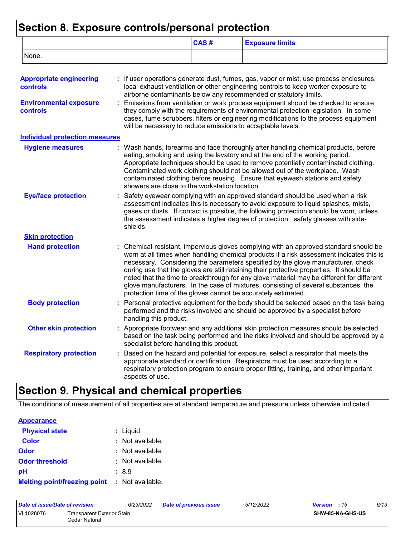## **Section 8. Exposure controls/personal protection**

|       | CAS# | <b>Exposure limits</b> |
|-------|------|------------------------|
| None. |      |                        |

| <b>Appropriate engineering</b><br>controls       | : If user operations generate dust, fumes, gas, vapor or mist, use process enclosures,<br>local exhaust ventilation or other engineering controls to keep worker exposure to<br>airborne contaminants below any recommended or statutory limits.                                                                                                                                                                                                                                                                                                                                                                       |
|--------------------------------------------------|------------------------------------------------------------------------------------------------------------------------------------------------------------------------------------------------------------------------------------------------------------------------------------------------------------------------------------------------------------------------------------------------------------------------------------------------------------------------------------------------------------------------------------------------------------------------------------------------------------------------|
| <b>Environmental exposure</b><br><b>controls</b> | Emissions from ventilation or work process equipment should be checked to ensure<br>they comply with the requirements of environmental protection legislation. In some<br>cases, fume scrubbers, filters or engineering modifications to the process equipment<br>will be necessary to reduce emissions to acceptable levels.                                                                                                                                                                                                                                                                                          |
| <b>Individual protection measures</b>            |                                                                                                                                                                                                                                                                                                                                                                                                                                                                                                                                                                                                                        |
| <b>Hygiene measures</b>                          | Wash hands, forearms and face thoroughly after handling chemical products, before<br>eating, smoking and using the lavatory and at the end of the working period.<br>Appropriate techniques should be used to remove potentially contaminated clothing.<br>Contaminated work clothing should not be allowed out of the workplace. Wash<br>contaminated clothing before reusing. Ensure that eyewash stations and safety<br>showers are close to the workstation location.                                                                                                                                              |
| <b>Eye/face protection</b>                       | Safety eyewear complying with an approved standard should be used when a risk<br>assessment indicates this is necessary to avoid exposure to liquid splashes, mists,<br>gases or dusts. If contact is possible, the following protection should be worn, unless<br>the assessment indicates a higher degree of protection: safety glasses with side-<br>shields.                                                                                                                                                                                                                                                       |
| <b>Skin protection</b>                           |                                                                                                                                                                                                                                                                                                                                                                                                                                                                                                                                                                                                                        |
| <b>Hand protection</b>                           | : Chemical-resistant, impervious gloves complying with an approved standard should be<br>worn at all times when handling chemical products if a risk assessment indicates this is<br>necessary. Considering the parameters specified by the glove manufacturer, check<br>during use that the gloves are still retaining their protective properties. It should be<br>noted that the time to breakthrough for any glove material may be different for different<br>glove manufacturers. In the case of mixtures, consisting of several substances, the<br>protection time of the gloves cannot be accurately estimated. |
| <b>Body protection</b>                           | Personal protective equipment for the body should be selected based on the task being<br>performed and the risks involved and should be approved by a specialist before<br>handling this product.                                                                                                                                                                                                                                                                                                                                                                                                                      |
| <b>Other skin protection</b>                     | Appropriate footwear and any additional skin protection measures should be selected<br>based on the task being performed and the risks involved and should be approved by a<br>specialist before handling this product.                                                                                                                                                                                                                                                                                                                                                                                                |
| <b>Respiratory protection</b>                    | Based on the hazard and potential for exposure, select a respirator that meets the<br>appropriate standard or certification. Respirators must be used according to a<br>respiratory protection program to ensure proper fitting, training, and other important<br>aspects of use.                                                                                                                                                                                                                                                                                                                                      |

## **Section 9. Physical and chemical properties**

The conditions of measurement of all properties are at standard temperature and pressure unless otherwise indicated.

| <b>Appearance</b>                                    |                  |
|------------------------------------------------------|------------------|
| <b>Physical state</b>                                | $:$ Liquid.      |
| <b>Color</b>                                         | : Not available. |
| Odor                                                 | : Not available. |
| <b>Odor threshold</b>                                | : Not available. |
| рH                                                   | :8.9             |
| <b>Melting point/freezing point : Not available.</b> |                  |

| Date of issue/Date of revision |                                             | : 6/23/2022 | <b>Date of previous issue</b> | : 5/12/2022 | <b>Version</b> : 15     | 6/13 |
|--------------------------------|---------------------------------------------|-------------|-------------------------------|-------------|-------------------------|------|
| VL1028076                      | Transparent Exterior Stain<br>Cedar Natural |             |                               |             | <b>SHW-85-NA-GHS-US</b> |      |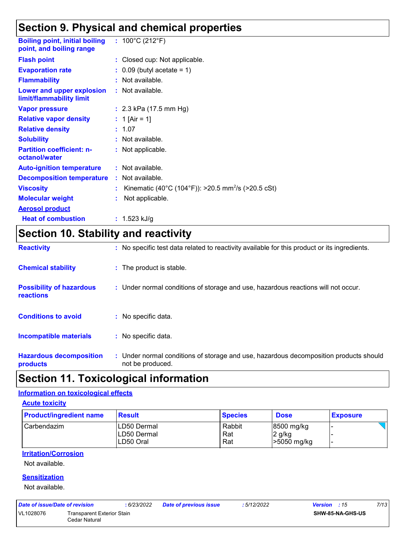## **Section 9. Physical and chemical properties**

| <b>Boiling point, initial boiling</b><br>point, and boiling range | : $100^{\circ}$ C (212 $^{\circ}$ F)                           |
|-------------------------------------------------------------------|----------------------------------------------------------------|
| <b>Flash point</b>                                                | : Closed cup: Not applicable.                                  |
| <b>Evaporation rate</b>                                           | $\therefore$ 0.09 (butyl acetate = 1)                          |
| <b>Flammability</b>                                               | : Not available.                                               |
| Lower and upper explosion<br>limit/flammability limit             | : Not available.                                               |
| <b>Vapor pressure</b>                                             | : $2.3$ kPa (17.5 mm Hg)                                       |
| <b>Relative vapor density</b>                                     | : 1 [Air = 1]                                                  |
| <b>Relative density</b>                                           | : 1.07                                                         |
| <b>Solubility</b>                                                 | : Not available.                                               |
| <b>Partition coefficient: n-</b><br>octanol/water                 | : Not applicable.                                              |
| <b>Auto-ignition temperature</b>                                  | : Not available.                                               |
| <b>Decomposition temperature</b>                                  | : Not available.                                               |
| <b>Viscosity</b>                                                  | Kinematic (40°C (104°F)): >20.5 mm <sup>2</sup> /s (>20.5 cSt) |
| <b>Molecular weight</b>                                           | Not applicable.                                                |
| <b>Aerosol product</b>                                            |                                                                |
| <b>Heat of combustion</b>                                         | : $1.523$ kJ/g                                                 |

## **Section 10. Stability and reactivity**

| <b>Reactivity</b>                                   | : No specific test data related to reactivity available for this product or its ingredients.              |
|-----------------------------------------------------|-----------------------------------------------------------------------------------------------------------|
| <b>Chemical stability</b>                           | : The product is stable.                                                                                  |
| <b>Possibility of hazardous</b><br><b>reactions</b> | : Under normal conditions of storage and use, hazardous reactions will not occur.                         |
| <b>Conditions to avoid</b>                          | : No specific data.                                                                                       |
| <b>Incompatible materials</b>                       | : No specific data.                                                                                       |
| <b>Hazardous decomposition</b><br>products          | : Under normal conditions of storage and use, hazardous decomposition products should<br>not be produced. |

## **Section 11. Toxicological information**

### **Information on toxicological effects**

**Acute toxicity**

| <b>Product/ingredient name</b> | <b>Result</b>            | <b>Species</b> | <b>Dose</b>           | <b>Exposure</b> |
|--------------------------------|--------------------------|----------------|-----------------------|-----------------|
| Carbendazim                    | ILD50 Dermal             | Rabbit         | 8500 mg/kg            |                 |
|                                |                          |                |                       | -               |
|                                | LD50 Dermal<br>LD50 Oral | Rat<br>Rat     | 2 g/kg<br>>5050 mg/kg |                 |

#### **Irritation/Corrosion**

Not available.

### **Sensitization**

Not available.

| Date of issue/Date of revision |                            | : 6/23/2022 | Date of previous issue | : 5/12/2022 | <b>Version</b> : 15     | 7/13 |
|--------------------------------|----------------------------|-------------|------------------------|-------------|-------------------------|------|
| VL1028076                      | Transparent Exterior Stain |             |                        |             | <b>SHW-85-NA-GHS-US</b> |      |
|                                | Cedar Natural              |             |                        |             |                         |      |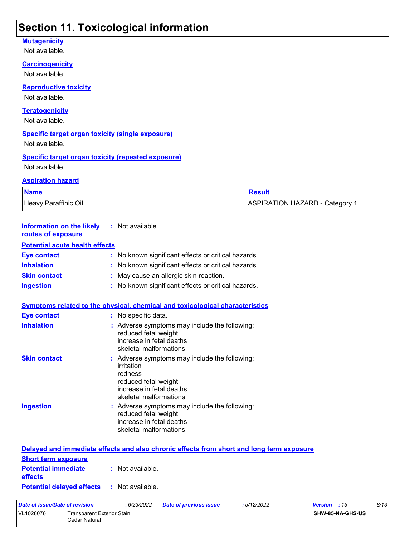## **Section 11. Toxicological information**

### **Mutagenicity**

Not available.

### **Carcinogenicity**

Not available.

**Reproductive toxicity** Not available.

### **Teratogenicity**

Not available.

### **Specific target organ toxicity (single exposure)**

Not available.

### **Specific target organ toxicity (repeated exposure)** Not available.

Cedar Natural

#### **Aspiration hazard**

| <b>Name</b>                 | <b>Result</b>                |
|-----------------------------|------------------------------|
| <b>Heavy Paraffinic Oil</b> | ASPIRATION HAZARD - Category |

| <b>Information on the likely</b><br>routes of exposure | : Not available.                                                                                                                                   |  |
|--------------------------------------------------------|----------------------------------------------------------------------------------------------------------------------------------------------------|--|
| <b>Potential acute health effects</b>                  |                                                                                                                                                    |  |
| <b>Eye contact</b>                                     | : No known significant effects or critical hazards.                                                                                                |  |
| <b>Inhalation</b>                                      | : No known significant effects or critical hazards.                                                                                                |  |
| <b>Skin contact</b>                                    | May cause an allergic skin reaction.                                                                                                               |  |
| <b>Ingestion</b>                                       | : No known significant effects or critical hazards.                                                                                                |  |
|                                                        | Symptoms related to the physical, chemical and toxicological characteristics                                                                       |  |
| <b>Eye contact</b>                                     | : No specific data.                                                                                                                                |  |
| <b>Inhalation</b>                                      | : Adverse symptoms may include the following:<br>reduced fetal weight<br>increase in fetal deaths<br>skeletal malformations                        |  |
| <b>Skin contact</b>                                    | Adverse symptoms may include the following:<br>irritation<br>redness<br>reduced fetal weight<br>increase in fetal deaths<br>skeletal malformations |  |
| <b>Ingestion</b>                                       | : Adverse symptoms may include the following:<br>reduced fetal weight<br>increase in fetal deaths<br>skeletal malformations                        |  |
|                                                        | Delayed and immediate effects and also chronic effects from short and long term exposure                                                           |  |
| <b>Short term exposure</b>                             |                                                                                                                                                    |  |
| <b>Potential immediate</b><br>effects                  | : Not available.                                                                                                                                   |  |
| <b>Potential delayed effects</b>                       | : Not available.                                                                                                                                   |  |
| <b>Date of issue/Date of revision</b>                  | : 6/23/2022<br><b>Date of previous issue</b><br>:5/12/2022<br>Version : 15<br>8/13                                                                 |  |
| VL1028076<br><b>Transparent Exterior Stain</b>         | SHW-85-NA-GHS-US                                                                                                                                   |  |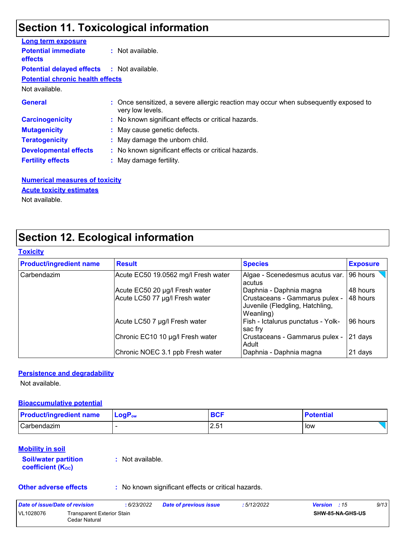## **Section 11. Toxicological information**

| Long term exposure                           |                                                                                                          |
|----------------------------------------------|----------------------------------------------------------------------------------------------------------|
| <b>Potential immediate</b><br><b>effects</b> | : Not available.                                                                                         |
| <b>Potential delayed effects</b>             | : Not available.                                                                                         |
| <b>Potential chronic health effects</b>      |                                                                                                          |
| Not available.                               |                                                                                                          |
| <b>General</b>                               | : Once sensitized, a severe allergic reaction may occur when subsequently exposed to<br>very low levels. |
| <b>Carcinogenicity</b>                       | : No known significant effects or critical hazards.                                                      |
| <b>Mutagenicity</b>                          | : May cause genetic defects.                                                                             |
| <b>Teratogenicity</b>                        | : May damage the unborn child.                                                                           |
| <b>Developmental effects</b>                 | : No known significant effects or critical hazards.                                                      |
| <b>Fertility effects</b>                     | : May damage fertility.                                                                                  |

**Numerical measures of toxicity** Not available. **Acute toxicity estimates**

## **Section 12. Ecological information**

#### **Toxicity**

| <b>Product/ingredient name</b> | <b>Result</b>                       | <b>Species</b>                                                                 | <b>Exposure</b> |
|--------------------------------|-------------------------------------|--------------------------------------------------------------------------------|-----------------|
| Carbendazim                    | Acute EC50 19.0562 mg/l Fresh water | Algae - Scenedesmus acutus var.<br>acutus                                      | 96 hours        |
|                                | Acute EC50 20 µg/l Fresh water      | Daphnia - Daphnia magna                                                        | 48 hours        |
|                                | Acute LC50 77 µg/l Fresh water      | Crustaceans - Gammarus pulex -<br>Juvenile (Fledgling, Hatchling,<br>Weanling) | 48 hours        |
|                                | Acute LC50 7 µg/l Fresh water       | Fish - Ictalurus punctatus - Yolk-<br>sac fry                                  | 96 hours        |
|                                | Chronic EC10 10 µg/l Fresh water    | Crustaceans - Gammarus pulex -<br>Adult                                        | 21 days         |
|                                | Chronic NOEC 3.1 ppb Fresh water    | Daphnia - Daphnia magna                                                        | 21 days         |

### **Persistence and degradability**

Not available.

### **Bioaccumulative potential**

| <b>Product/ingredient name</b> | ∣ LoqP <sub>ow</sub> |             | <b>Potential</b> |
|--------------------------------|----------------------|-------------|------------------|
| Carbendazim                    |                      | 2.51<br>ں.ے | low              |

### **Mobility in soil**

| <b>Soil/water partition</b> |  |
|-----------------------------|--|
| <b>coefficient (Koc)</b>    |  |

**:** Not available.

**Other adverse effects** : No known significant effects or critical hazards.

| Date of issue/Date of revision |                                             | 6/23/2022 | <b>Date of previous issue</b> | : 5/12/2022 | <b>Version</b> : 15 |                  | 9/13 |
|--------------------------------|---------------------------------------------|-----------|-------------------------------|-------------|---------------------|------------------|------|
| VL1028076                      | Transparent Exterior Stain<br>Cedar Natural |           |                               |             |                     | SHW-85-NA-GHS-US |      |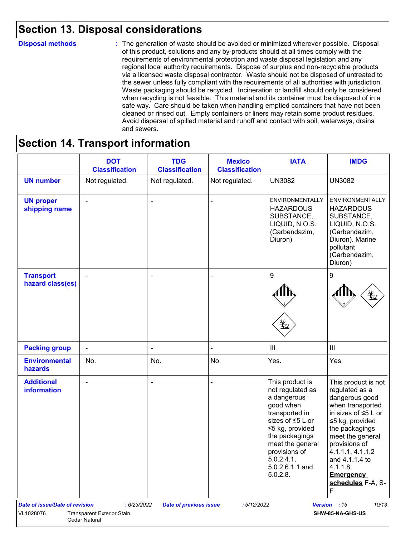## **Section 13. Disposal considerations**

#### **Disposal methods :**

The generation of waste should be avoided or minimized wherever possible. Disposal of this product, solutions and any by-products should at all times comply with the requirements of environmental protection and waste disposal legislation and any regional local authority requirements. Dispose of surplus and non-recyclable products via a licensed waste disposal contractor. Waste should not be disposed of untreated to the sewer unless fully compliant with the requirements of all authorities with jurisdiction. Waste packaging should be recycled. Incineration or landfill should only be considered when recycling is not feasible. This material and its container must be disposed of in a safe way. Care should be taken when handling emptied containers that have not been cleaned or rinsed out. Empty containers or liners may retain some product residues. Avoid dispersal of spilled material and runoff and contact with soil, waterways, drains and sewers.

## **Section 14. Transport information**

|                                         | <b>DOT</b><br><b>Classification</b>                       | <b>TDG</b><br><b>Classification</b> | <b>Mexico</b><br><b>Classification</b> | <b>IATA</b>                                                                                                                                                                                                                  | <b>IMDG</b>                                                                                                                                                                                                                                                                        |
|-----------------------------------------|-----------------------------------------------------------|-------------------------------------|----------------------------------------|------------------------------------------------------------------------------------------------------------------------------------------------------------------------------------------------------------------------------|------------------------------------------------------------------------------------------------------------------------------------------------------------------------------------------------------------------------------------------------------------------------------------|
| <b>UN number</b>                        | Not regulated.                                            | Not regulated.                      | Not regulated.                         | <b>UN3082</b>                                                                                                                                                                                                                | <b>UN3082</b>                                                                                                                                                                                                                                                                      |
| <b>UN proper</b><br>shipping name       |                                                           | ÷                                   |                                        | <b>ENVIRONMENTALLY</b><br><b>HAZARDOUS</b><br>SUBSTANCE,<br>LIQUID, N.O.S.<br>(Carbendazim,<br>Diuron)                                                                                                                       | <b>ENVIRONMENTALLY</b><br><b>HAZARDOUS</b><br>SUBSTANCE,<br>LIQUID, N.O.S.<br>(Carbendazim,<br>Diuron). Marine<br>pollutant<br>(Carbendazim,<br>Diuron)                                                                                                                            |
| <b>Transport</b><br>hazard class(es)    | $\blacksquare$                                            | $\overline{\phantom{a}}$            |                                        | 9                                                                                                                                                                                                                            | 9                                                                                                                                                                                                                                                                                  |
| <b>Packing group</b>                    | $\overline{\phantom{a}}$                                  | $\overline{\phantom{a}}$            |                                        | $\ensuremath{\mathsf{III}}\xspace$                                                                                                                                                                                           | $\vert\vert\vert$                                                                                                                                                                                                                                                                  |
| <b>Environmental</b><br>hazards         | No.                                                       | No.                                 | No.                                    | Yes.                                                                                                                                                                                                                         | Yes.                                                                                                                                                                                                                                                                               |
| <b>Additional</b><br><b>information</b> | $\blacksquare$                                            | $\blacksquare$                      |                                        | This product is<br>not regulated as<br>a dangerous<br>good when<br>transported in<br>sizes of ≤5 L or<br>≤5 kg, provided<br>the packagings<br>meet the general<br>provisions of<br>5.0.2.4.1,<br>5.0.2.6.1.1 and<br>5.0.2.8. | This product is not<br>regulated as a<br>dangerous good<br>when transported<br>in sizes of $\leq$ 5 L or<br>≤5 kg, provided<br>the packagings<br>meet the general<br>provisions of<br>4.1.1.1, 4.1.1.2<br>and 4.1.1.4 to<br>4.1.1.8.<br><b>Emergency</b><br>schedules F-A, S-<br>F |
| <b>Date of issue/Date of revision</b>   | : 6/23/2022                                               | <b>Date of previous issue</b>       | :5/12/2022                             |                                                                                                                                                                                                                              | Version : 15<br>10/13                                                                                                                                                                                                                                                              |
| VL1028076                               | <b>Transparent Exterior Stain</b><br><b>Cedar Natural</b> |                                     |                                        |                                                                                                                                                                                                                              | SHW-85-NA-GHS-US                                                                                                                                                                                                                                                                   |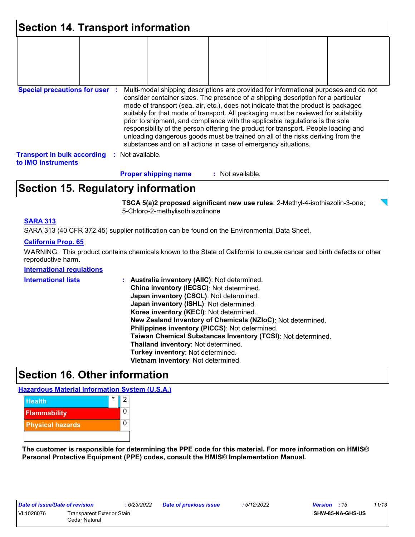| <b>Section 14. Transport information</b>                 |    |                |                                                                |                  |  |                                                                                                                                                                                                                                                                                                                                                                                                                                                                                                                                                                                                                   |  |
|----------------------------------------------------------|----|----------------|----------------------------------------------------------------|------------------|--|-------------------------------------------------------------------------------------------------------------------------------------------------------------------------------------------------------------------------------------------------------------------------------------------------------------------------------------------------------------------------------------------------------------------------------------------------------------------------------------------------------------------------------------------------------------------------------------------------------------------|--|
|                                                          |    |                |                                                                |                  |  |                                                                                                                                                                                                                                                                                                                                                                                                                                                                                                                                                                                                                   |  |
|                                                          |    |                |                                                                |                  |  |                                                                                                                                                                                                                                                                                                                                                                                                                                                                                                                                                                                                                   |  |
|                                                          |    |                |                                                                |                  |  |                                                                                                                                                                                                                                                                                                                                                                                                                                                                                                                                                                                                                   |  |
| <b>Special precautions for user :</b>                    |    |                | substances and on all actions in case of emergency situations. |                  |  | Multi-modal shipping descriptions are provided for informational purposes and do not<br>consider container sizes. The presence of a shipping description for a particular<br>mode of transport (sea, air, etc.), does not indicate that the product is packaged<br>suitably for that mode of transport. All packaging must be reviewed for suitability<br>prior to shipment, and compliance with the applicable regulations is the sole<br>responsibility of the person offering the product for transport. People loading and<br>unloading dangerous goods must be trained on all of the risks deriving from the |  |
| <b>Transport in bulk according</b><br>to IMO instruments | ÷. | Not available. |                                                                |                  |  |                                                                                                                                                                                                                                                                                                                                                                                                                                                                                                                                                                                                                   |  |
|                                                          |    |                | <b>Proper shipping name</b>                                    | : Not available. |  |                                                                                                                                                                                                                                                                                                                                                                                                                                                                                                                                                                                                                   |  |

## **Section 15. Regulatory information**

**TSCA 5(a)2 proposed significant new use rules**: 2-Methyl-4-isothiazolin-3-one; 5-Chloro-2-methylisothiazolinone

### **SARA 313**

SARA 313 (40 CFR 372.45) supplier notification can be found on the Environmental Data Sheet.

### **California Prop. 65**

WARNING: This product contains chemicals known to the State of California to cause cancer and birth defects or other reproductive harm.

### **International regulations**

| <b>International lists</b> | Australia inventory (AIIC): Not determined.                  |
|----------------------------|--------------------------------------------------------------|
|                            | China inventory (IECSC): Not determined.                     |
|                            | Japan inventory (CSCL): Not determined.                      |
|                            | Japan inventory (ISHL): Not determined.                      |
|                            | Korea inventory (KECI): Not determined.                      |
|                            | New Zealand Inventory of Chemicals (NZIoC): Not determined.  |
|                            | Philippines inventory (PICCS): Not determined.               |
|                            | Taiwan Chemical Substances Inventory (TCSI): Not determined. |
|                            | Thailand inventory: Not determined.                          |
|                            | Turkey inventory: Not determined.                            |
|                            | Vietnam inventory: Not determined.                           |

### **Section 16. Other information**

**Hazardous Material Information System (U.S.A.)**



**The customer is responsible for determining the PPE code for this material. For more information on HMIS® Personal Protective Equipment (PPE) codes, consult the HMIS® Implementation Manual.**

| Date of issue/Date of revision |                                   | :6/23/2022 | <b>Date</b> |  |  |
|--------------------------------|-----------------------------------|------------|-------------|--|--|
| VL1028076                      | <b>Transparent Exterior Stain</b> |            |             |  |  |
|                                | Cedar Natural                     |            |             |  |  |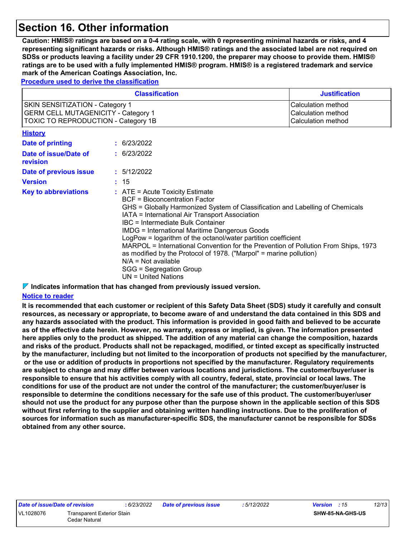## **Section 16. Other information**

**Caution: HMIS® ratings are based on a 0-4 rating scale, with 0 representing minimal hazards or risks, and 4 representing significant hazards or risks. Although HMIS® ratings and the associated label are not required on SDSs or products leaving a facility under 29 CFR 1910.1200, the preparer may choose to provide them. HMIS® ratings are to be used with a fully implemented HMIS® program. HMIS® is a registered trademark and service mark of the American Coatings Association, Inc.**

**Procedure used to derive the classification**

| <b>Classification</b>                                                                                                                                                                                                                                                                                                                                                                                                                                                                                                                                                                                                                              |  |             | <b>Justification</b>                                           |
|----------------------------------------------------------------------------------------------------------------------------------------------------------------------------------------------------------------------------------------------------------------------------------------------------------------------------------------------------------------------------------------------------------------------------------------------------------------------------------------------------------------------------------------------------------------------------------------------------------------------------------------------------|--|-------------|----------------------------------------------------------------|
| <b>SKIN SENSITIZATION - Category 1</b><br><b>GERM CELL MUTAGENICITY - Category 1</b><br><b>TOXIC TO REPRODUCTION - Category 1B</b>                                                                                                                                                                                                                                                                                                                                                                                                                                                                                                                 |  |             | Calculation method<br>Calculation method<br>Calculation method |
| <b>History</b>                                                                                                                                                                                                                                                                                                                                                                                                                                                                                                                                                                                                                                     |  |             |                                                                |
| <b>Date of printing</b>                                                                                                                                                                                                                                                                                                                                                                                                                                                                                                                                                                                                                            |  | : 6/23/2022 |                                                                |
| Date of issue/Date of<br>revision                                                                                                                                                                                                                                                                                                                                                                                                                                                                                                                                                                                                                  |  | : 6/23/2022 |                                                                |
| Date of previous issue                                                                                                                                                                                                                                                                                                                                                                                                                                                                                                                                                                                                                             |  | : 5/12/2022 |                                                                |
| <b>Version</b>                                                                                                                                                                                                                                                                                                                                                                                                                                                                                                                                                                                                                                     |  | : 15        |                                                                |
| <b>Key to abbreviations</b><br>$:$ ATE = Acute Toxicity Estimate<br><b>BCF</b> = Bioconcentration Factor<br>GHS = Globally Harmonized System of Classification and Labelling of Chemicals<br>IATA = International Air Transport Association<br>IBC = Intermediate Bulk Container<br><b>IMDG = International Maritime Dangerous Goods</b><br>LogPow = logarithm of the octanol/water partition coefficient<br>MARPOL = International Convention for the Prevention of Pollution From Ships, 1973<br>as modified by the Protocol of 1978. ("Marpol" = marine pollution)<br>$N/A = Not available$<br>SGG = Segregation Group<br>$UN = United Nations$ |  |             |                                                                |

**Indicates information that has changed from previously issued version.**

#### **Notice to reader**

**It is recommended that each customer or recipient of this Safety Data Sheet (SDS) study it carefully and consult resources, as necessary or appropriate, to become aware of and understand the data contained in this SDS and any hazards associated with the product. This information is provided in good faith and believed to be accurate as of the effective date herein. However, no warranty, express or implied, is given. The information presented here applies only to the product as shipped. The addition of any material can change the composition, hazards and risks of the product. Products shall not be repackaged, modified, or tinted except as specifically instructed by the manufacturer, including but not limited to the incorporation of products not specified by the manufacturer, or the use or addition of products in proportions not specified by the manufacturer. Regulatory requirements are subject to change and may differ between various locations and jurisdictions. The customer/buyer/user is responsible to ensure that his activities comply with all country, federal, state, provincial or local laws. The conditions for use of the product are not under the control of the manufacturer; the customer/buyer/user is responsible to determine the conditions necessary for the safe use of this product. The customer/buyer/user should not use the product for any purpose other than the purpose shown in the applicable section of this SDS without first referring to the supplier and obtaining written handling instructions. Due to the proliferation of sources for information such as manufacturer-specific SDS, the manufacturer cannot be responsible for SDSs obtained from any other source.**